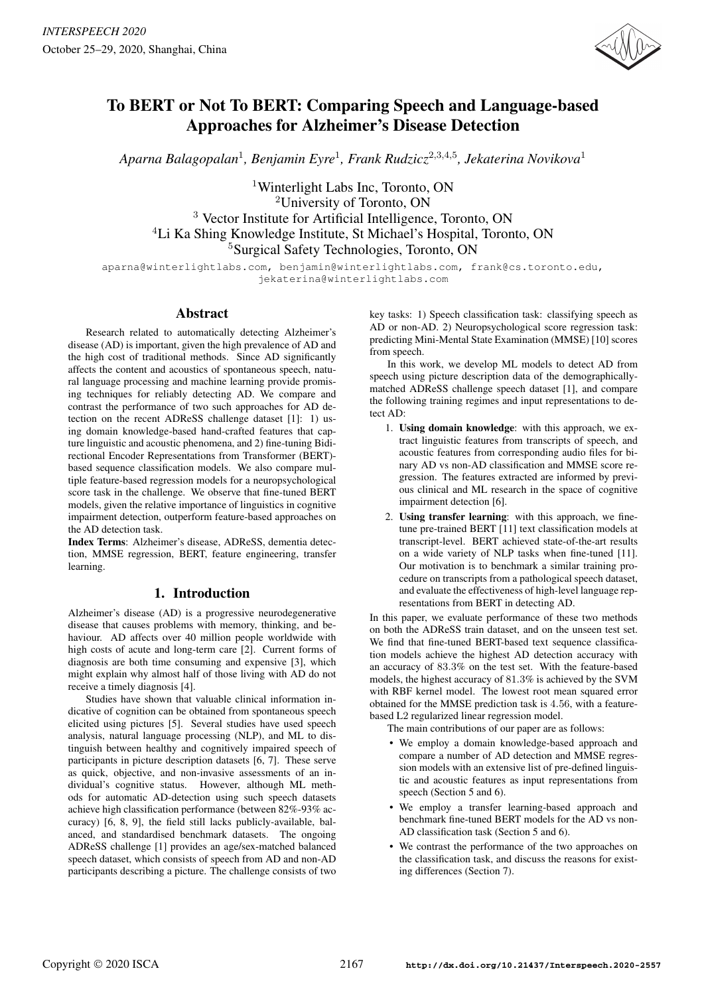

# To BERT or Not To BERT: Comparing Speech and Language-based Approaches for Alzheimer's Disease Detection

*Aparna Balagopalan*<sup>1</sup>*, Benjamin Eyre*<sup>1</sup>*, Frank Rudzicz*<sup>2</sup>*,*3*,*4*,*<sup>5</sup>*, Jekaterina Novikova*<sup>1</sup>

<sup>1</sup>Winterlight Labs Inc, Toronto, ON <sup>2</sup>University of Toronto, ON <sup>3</sup> Vector Institute for Artificial Intelligence, Toronto, ON <sup>4</sup>Li Ka Shing Knowledge Institute, St Michael's Hospital, Toronto, ON <sup>5</sup>Surgical Safety Technologies, Toronto, ON

aparna@winterlightlabs.com, benjamin@winterlightlabs.com, frank@cs.toronto.edu, jekaterina@winterlightlabs.com

# Abstract

Research related to automatically detecting Alzheimer's disease (AD) is important, given the high prevalence of AD and the high cost of traditional methods. Since AD significantly affects the content and acoustics of spontaneous speech, natural language processing and machine learning provide promising techniques for reliably detecting AD. We compare and contrast the performance of two such approaches for AD detection on the recent ADReSS challenge dataset [1]: 1) using domain knowledge-based hand-crafted features that capture linguistic and acoustic phenomena, and 2) fine-tuning Bidirectional Encoder Representations from Transformer (BERT) based sequence classification models. We also compare multiple feature-based regression models for a neuropsychological score task in the challenge. We observe that fine-tuned BERT models, given the relative importance of linguistics in cognitive impairment detection, outperform feature-based approaches on the AD detection task.

Index Terms: Alzheimer's disease, ADReSS, dementia detection, MMSE regression, BERT, feature engineering, transfer learning.

# 1. Introduction

Alzheimer's disease (AD) is a progressive neurodegenerative disease that causes problems with memory, thinking, and behaviour. AD affects over 40 million people worldwide with high costs of acute and long-term care [2]. Current forms of diagnosis are both time consuming and expensive [3], which might explain why almost half of those living with AD do not receive a timely diagnosis [4].

Studies have shown that valuable clinical information indicative of cognition can be obtained from spontaneous speech elicited using pictures [5]. Several studies have used speech analysis, natural language processing (NLP), and ML to distinguish between healthy and cognitively impaired speech of participants in picture description datasets [6, 7]. These serve as quick, objective, and non-invasive assessments of an individual's cognitive status. However, although ML methods for automatic AD-detection using such speech datasets achieve high classification performance (between 82%-93% accuracy) [6, 8, 9], the field still lacks publicly-available, balanced, and standardised benchmark datasets. The ongoing ADReSS challenge [1] provides an age/sex-matched balanced speech dataset, which consists of speech from AD and non-AD participants describing a picture. The challenge consists of two key tasks: 1) Speech classification task: classifying speech as AD or non-AD. 2) Neuropsychological score regression task: predicting Mini-Mental State Examination (MMSE) [10] scores from speech.

In this work, we develop ML models to detect AD from speech using picture description data of the demographicallymatched ADReSS challenge speech dataset [1], and compare the following training regimes and input representations to detect AD:

- 1. Using domain knowledge: with this approach, we extract linguistic features from transcripts of speech, and acoustic features from corresponding audio files for binary AD vs non-AD classification and MMSE score regression. The features extracted are informed by previous clinical and ML research in the space of cognitive impairment detection [6].
- 2. Using transfer learning: with this approach, we finetune pre-trained BERT [11] text classification models at transcript-level. BERT achieved state-of-the-art results on a wide variety of NLP tasks when fine-tuned [11]. Our motivation is to benchmark a similar training procedure on transcripts from a pathological speech dataset, and evaluate the effectiveness of high-level language representations from BERT in detecting AD.

In this paper, we evaluate performance of these two methods on both the ADReSS train dataset, and on the unseen test set. We find that fine-tuned BERT-based text sequence classification models achieve the highest AD detection accuracy with an accuracy of 83*.*3% on the test set. With the feature-based models, the highest accuracy of 81*.*3% is achieved by the SVM with RBF kernel model. The lowest root mean squared error obtained for the MMSE prediction task is 4*.*56, with a featurebased L2 regularized linear regression model.

The main contributions of our paper are as follows:

- We employ a domain knowledge-based approach and compare a number of AD detection and MMSE regression models with an extensive list of pre-defined linguistic and acoustic features as input representations from speech (Section 5 and 6).
- We employ a transfer learning-based approach and benchmark fine-tuned BERT models for the AD vs non-AD classification task (Section 5 and 6).
- We contrast the performance of the two approaches on the classification task, and discuss the reasons for existing differences (Section 7).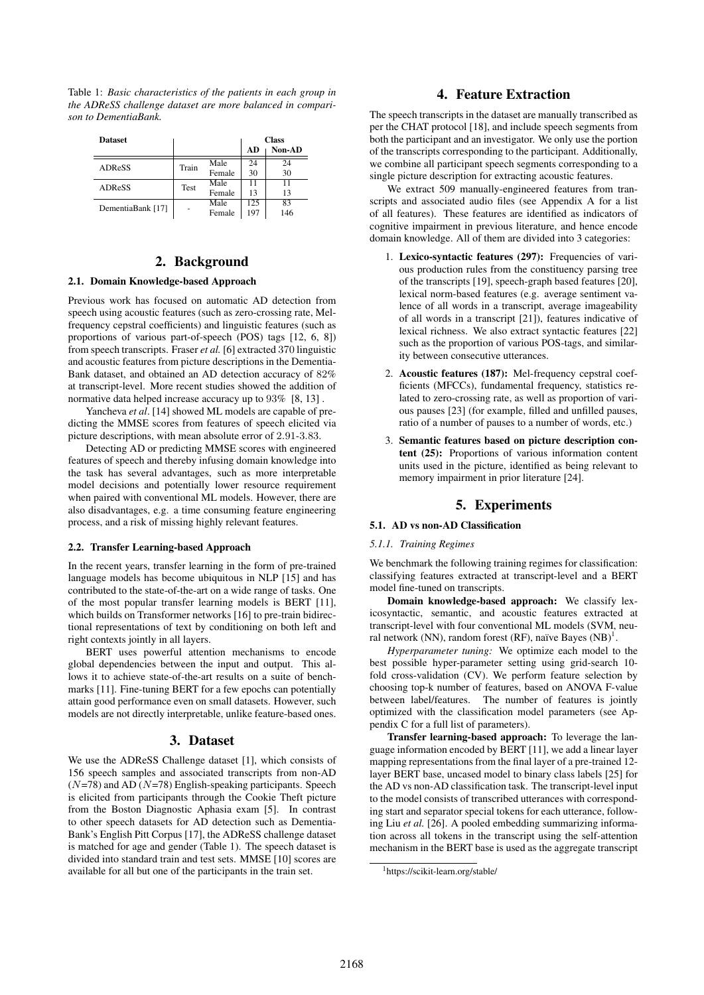Table 1: *Basic characteristics of the patients in each group in the ADReSS challenge dataset are more balanced in comparison to DementiaBank.*

| <b>Dataset</b>    |             |        |     | <b>Class</b> |
|-------------------|-------------|--------|-----|--------------|
|                   |             |        | AD  | Non-AD       |
| ADReSS            | Train       | Male   | 24  | 24           |
|                   |             | Female | 30  | 30           |
| ADReSS            | <b>Test</b> | Male   | 11  | 11           |
|                   |             | Female | 13  | 13           |
| DementiaBank [17] |             | Male   | 125 | 83           |
|                   |             | Female | 197 | 146          |

# 2. Background

## 2.1. Domain Knowledge-based Approach

Previous work has focused on automatic AD detection from speech using acoustic features (such as zero-crossing rate, Melfrequency cepstral coefficients) and linguistic features (such as proportions of various part-of-speech (POS) tags [12, 6, 8]) from speech transcripts. Fraser *et al.* [6] extracted 370 linguistic and acoustic features from picture descriptions in the Dementia-Bank dataset, and obtained an AD detection accuracy of 82% at transcript-level. More recent studies showed the addition of normative data helped increase accuracy up to 93% [8, 13] .

Yancheva *et al*. [14] showed ML models are capable of predicting the MMSE scores from features of speech elicited via picture descriptions, with mean absolute error of 2*.*91-3*.*83.

Detecting AD or predicting MMSE scores with engineered features of speech and thereby infusing domain knowledge into the task has several advantages, such as more interpretable model decisions and potentially lower resource requirement when paired with conventional ML models. However, there are also disadvantages, e.g. a time consuming feature engineering process, and a risk of missing highly relevant features.

#### 2.2. Transfer Learning-based Approach

In the recent years, transfer learning in the form of pre-trained language models has become ubiquitous in NLP [15] and has contributed to the state-of-the-art on a wide range of tasks. One of the most popular transfer learning models is BERT [11], which builds on Transformer networks [16] to pre-train bidirectional representations of text by conditioning on both left and right contexts jointly in all layers.

BERT uses powerful attention mechanisms to encode global dependencies between the input and output. This allows it to achieve state-of-the-art results on a suite of benchmarks [11]. Fine-tuning BERT for a few epochs can potentially attain good performance even on small datasets. However, such models are not directly interpretable, unlike feature-based ones.

## 3. Dataset

We use the ADReSS Challenge dataset [1], which consists of 156 speech samples and associated transcripts from non-AD (*N*=78) and AD (*N*=78) English-speaking participants. Speech is elicited from participants through the Cookie Theft picture from the Boston Diagnostic Aphasia exam [5]. In contrast to other speech datasets for AD detection such as Dementia-Bank's English Pitt Corpus [17], the ADReSS challenge dataset is matched for age and gender (Table 1). The speech dataset is divided into standard train and test sets. MMSE [10] scores are available for all but one of the participants in the train set.

# 4. Feature Extraction

The speech transcripts in the dataset are manually transcribed as per the CHAT protocol [18], and include speech segments from both the participant and an investigator. We only use the portion of the transcripts corresponding to the participant. Additionally, we combine all participant speech segments corresponding to a single picture description for extracting acoustic features.

We extract 509 manually-engineered features from transcripts and associated audio files (see Appendix A for a list of all features). These features are identified as indicators of cognitive impairment in previous literature, and hence encode domain knowledge. All of them are divided into 3 categories:

- 1. Lexico-syntactic features (297): Frequencies of various production rules from the constituency parsing tree of the transcripts [19], speech-graph based features [20], lexical norm-based features (e.g. average sentiment valence of all words in a transcript, average imageability of all words in a transcript [21]), features indicative of lexical richness. We also extract syntactic features [22] such as the proportion of various POS-tags, and similarity between consecutive utterances.
- 2. Acoustic features (187): Mel-frequency cepstral coefficients (MFCCs), fundamental frequency, statistics related to zero-crossing rate, as well as proportion of various pauses [23] (for example, filled and unfilled pauses, ratio of a number of pauses to a number of words, etc.)
- 3. Semantic features based on picture description content (25): Proportions of various information content units used in the picture, identified as being relevant to memory impairment in prior literature [24].

# 5. Experiments

## 5.1. AD vs non-AD Classification

#### *5.1.1. Training Regimes*

We benchmark the following training regimes for classification: classifying features extracted at transcript-level and a BERT model fine-tuned on transcripts.

Domain knowledge-based approach: We classify lexicosyntactic, semantic, and acoustic features extracted at transcript-level with four conventional ML models (SVM, neural network (NN), random forest (RF), naïve Bayes  $(NB)^1$ .

*Hyperparameter tuning:* We optimize each model to the best possible hyper-parameter setting using grid-search 10 fold cross-validation (CV). We perform feature selection by choosing top-k number of features, based on ANOVA F-value between label/features. The number of features is jointly optimized with the classification model parameters (see Appendix C for a full list of parameters).

Transfer learning-based approach: To leverage the language information encoded by BERT [11], we add a linear layer mapping representations from the final layer of a pre-trained 12 layer BERT base, uncased model to binary class labels [25] for the AD vs non-AD classification task. The transcript-level input to the model consists of transcribed utterances with corresponding start and separator special tokens for each utterance, following Liu *et al.* [26]. A pooled embedding summarizing information across all tokens in the transcript using the self-attention mechanism in the BERT base is used as the aggregate transcript

<sup>1</sup>https://scikit-learn.org/stable/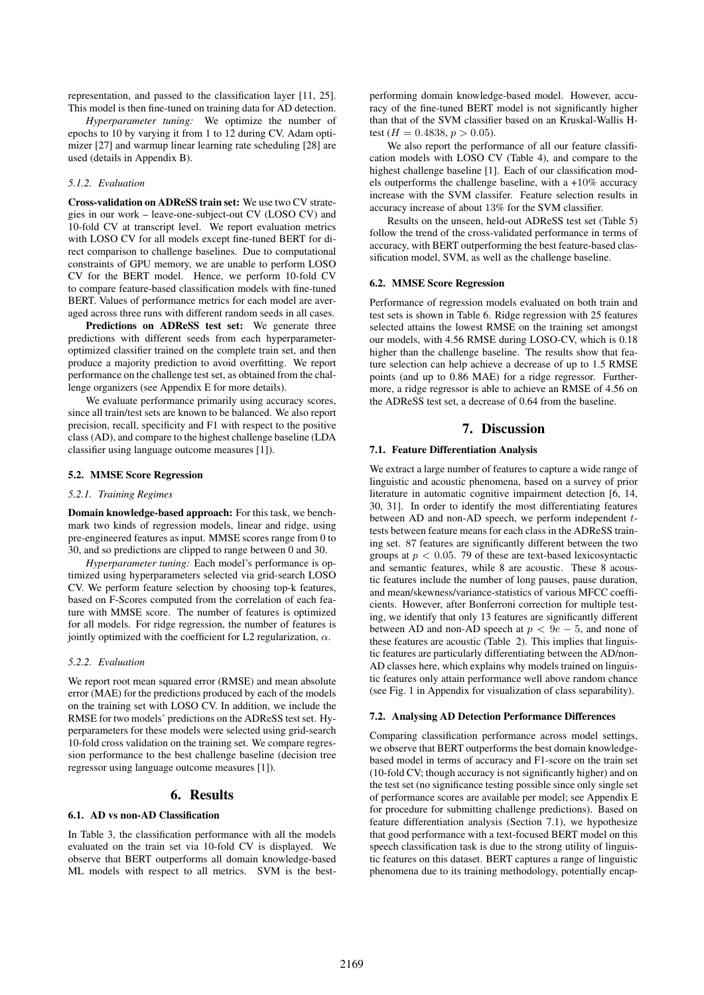representation, and passed to the classification layer [11, 25]. This model is then fine-tuned on training data for AD detection.

*Hyperparameter tuning:* We optimize the number of epochs to 10 by varying it from 1 to 12 during CV. Adam optimizer [27] and warmup linear learning rate scheduling [28] are used (details in Appendix B).

### *5.1.2. Evaluation*

Cross-validation on ADReSS train set: We use two CV strategies in our work – leave-one-subject-out CV (LOSO CV) and 10-fold CV at transcript level. We report evaluation metrics with LOSO CV for all models except fine-tuned BERT for direct comparison to challenge baselines. Due to computational constraints of GPU memory, we are unable to perform LOSO CV for the BERT model. Hence, we perform 10-fold CV to compare feature-based classification models with fine-tuned BERT. Values of performance metrics for each model are averaged across three runs with different random seeds in all cases.

Predictions on ADReSS test set: We generate three predictions with different seeds from each hyperparameteroptimized classifier trained on the complete train set, and then produce a majority prediction to avoid overfitting. We report performance on the challenge test set, as obtained from the challenge organizers (see Appendix E for more details).

We evaluate performance primarily using accuracy scores, since all train/test sets are known to be balanced. We also report precision, recall, specificity and F1 with respect to the positive class (AD), and compare to the highest challenge baseline (LDA classifier using language outcome measures [1]).

### 5.2. MMSE Score Regression

#### *5.2.1. Training Regimes*

Domain knowledge-based approach: For this task, we benchmark two kinds of regression models, linear and ridge, using pre-engineered features as input. MMSE scores range from 0 to 30, and so predictions are clipped to range between 0 and 30.

*Hyperparameter tuning:* Each model's performance is optimized using hyperparameters selected via grid-search LOSO CV. We perform feature selection by choosing top-k features, based on F-Scores computed from the correlation of each feature with MMSE score. The number of features is optimized for all models. For ridge regression, the number of features is jointly optimized with the coefficient for L2 regularization,  $\alpha$ .

#### *5.2.2. Evaluation*

We report root mean squared error (RMSE) and mean absolute error (MAE) for the predictions produced by each of the models on the training set with LOSO CV. In addition, we include the RMSE for two models' predictions on the ADReSS test set. Hyperparameters for these models were selected using grid-search 10-fold cross validation on the training set. We compare regression performance to the best challenge baseline (decision tree regressor using language outcome measures [1]).

# 6. Results

#### 6.1. AD vs non-AD Classification

In Table 3, the classification performance with all the models evaluated on the train set via 10-fold CV is displayed. We observe that BERT outperforms all domain knowledge-based ML models with respect to all metrics. SVM is the bestperforming domain knowledge-based model. However, accuracy of the fine-tuned BERT model is not significantly higher than that of the SVM classifier based on an Kruskal-Wallis Htest ( $H = 0.4838, p > 0.05$ ).

We also report the performance of all our feature classification models with LOSO CV (Table 4), and compare to the highest challenge baseline [1]. Each of our classification models outperforms the challenge baseline, with a +10% accuracy increase with the SVM classifer. Feature selection results in accuracy increase of about 13% for the SVM classifier.

Results on the unseen, held-out ADReSS test set (Table 5) follow the trend of the cross-validated performance in terms of accuracy, with BERT outperforming the best feature-based classification model, SVM, as well as the challenge baseline.

#### 6.2. MMSE Score Regression

Performance of regression models evaluated on both train and test sets is shown in Table 6. Ridge regression with 25 features selected attains the lowest RMSE on the training set amongst our models, with 4.56 RMSE during LOSO-CV, which is 0.18 higher than the challenge baseline. The results show that feature selection can help achieve a decrease of up to 1.5 RMSE points (and up to 0.86 MAE) for a ridge regressor. Furthermore, a ridge regressor is able to achieve an RMSE of 4.56 on the ADReSS test set, a decrease of 0.64 from the baseline.

## 7. Discussion

#### 7.1. Feature Differentiation Analysis

We extract a large number of features to capture a wide range of linguistic and acoustic phenomena, based on a survey of prior literature in automatic cognitive impairment detection [6, 14, 30, 31]. In order to identify the most differentiating features between AD and non-AD speech, we perform independent *t*tests between feature means for each class in the ADReSS training set. 87 features are significantly different between the two groups at *p <* 0*.*05. 79 of these are text-based lexicosyntactic and semantic features, while 8 are acoustic. These 8 acoustic features include the number of long pauses, pause duration, and mean/skewness/variance-statistics of various MFCC coefficients. However, after Bonferroni correction for multiple testing, we identify that only 13 features are significantly different between AD and non-AD speech at  $p < 9e - 5$ , and none of these features are acoustic (Table 2). This implies that linguistic features are particularly differentiating between the AD/non-AD classes here, which explains why models trained on linguistic features only attain performance well above random chance (see Fig. 1 in Appendix for visualization of class separability).

### 7.2. Analysing AD Detection Performance Differences

Comparing classification performance across model settings, we observe that BERT outperforms the best domain knowledgebased model in terms of accuracy and F1-score on the train set (10-fold CV; though accuracy is not significantly higher) and on the test set (no significance testing possible since only single set of performance scores are available per model; see Appendix E for procedure for submitting challenge predictions). Based on feature differentiation analysis (Section 7.1), we hypothesize that good performance with a text-focused BERT model on this speech classification task is due to the strong utility of linguistic features on this dataset. BERT captures a range of linguistic phenomena due to its training methodology, potentially encap-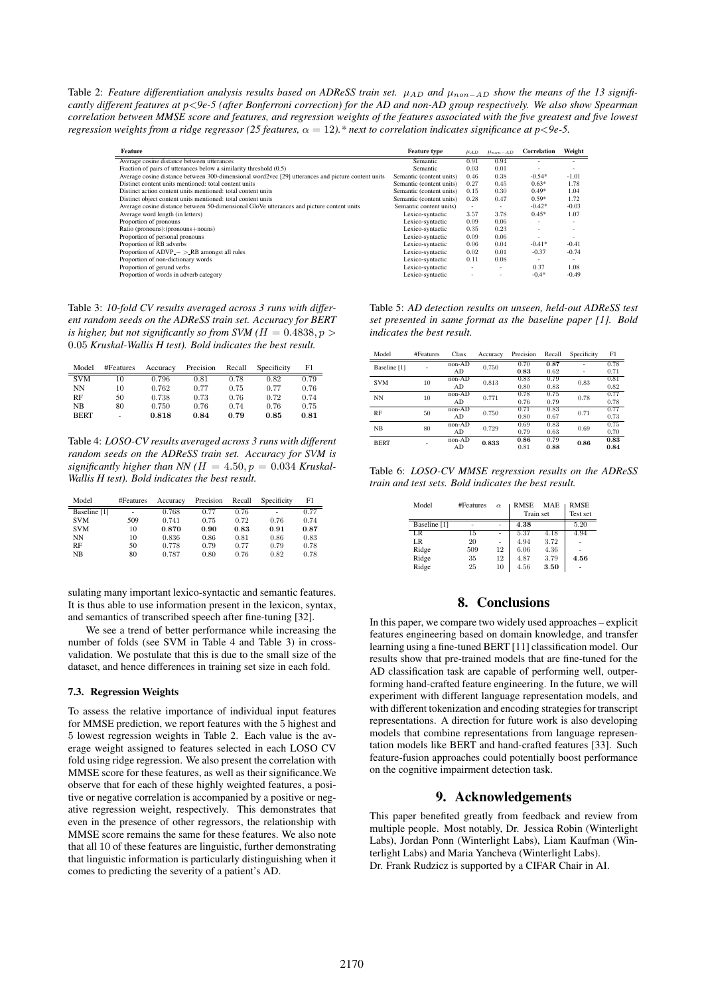Table 2: *Feature differentiation analysis results based on ADReSS train set.*  $\mu_{AD}$  and  $\mu_{non-AD}$  show the means of the 13 signifi*cantly different features at p<9e-5 (after Bonferroni correction) for the AD and non-AD group respectively. We also show Spearman correlation between MMSE score and features, and regression weights of the features associated with the five greatest and five lowest regression weights from a ridge regressor (25 features,*  $\alpha = 12$ ).\* next to correlation indicates significance at p<9e-5.

| Feature                                                                                            | <b>Feature type</b>      | $\mu_{AD}$ | $\mu_{non-AD}$ | <b>Correlation</b> | Weight                   |
|----------------------------------------------------------------------------------------------------|--------------------------|------------|----------------|--------------------|--------------------------|
| Average cosine distance between utterances                                                         | Semantic                 | 0.91       | 0.94           |                    |                          |
| Fraction of pairs of utterances below a similarity threshold (0.5)                                 | Semantic                 | 0.03       | 0.01           |                    |                          |
| Average cosine distance between 300-dimensional word2vec [29] utterances and picture content units | Semantic (content units) | 0.46       | 0.38           | $-0.54*$           | $-1.01$                  |
| Distinct content units mentioned: total content units                                              | Semantic (content units) | 0.27       | 0.45           | $0.63*$            | 1.78                     |
| Distinct action content units mentioned: total content units                                       | Semantic (content units) | 0.15       | 0.30           | $0.49*$            | 1.04                     |
| Distinct object content units mentioned: total content units                                       | Semantic (content units) | 0.28       | 0.47           | $0.59*$            | 1.72                     |
| Average cosine distance between 50-dimensional GloVe utterances and picture content units          | Semantic content units)  | ٠          |                | $-0.42*$           | $-0.03$                  |
| Average word length (in letters)                                                                   | Lexico-syntactic         | 3.57       | 3.78           | $0.45*$            | 1.07                     |
| Proportion of pronouns                                                                             | Lexico-syntactic         | 0.09       | 0.06           |                    | $\sim$                   |
| Ratio (pronouns): (pronouns+nouns)                                                                 | Lexico-syntactic         | 0.35       | 0.23           |                    |                          |
| Proportion of personal pronouns                                                                    | Lexico-syntactic         | 0.09       | 0.06           | ۰                  | $\overline{\phantom{a}}$ |
| Proportion of RB adverbs                                                                           | Lexico-syntactic         | 0.06       | 0.04           | $-0.41*$           | $-0.41$                  |
| Proportion of $ADVP - > RB$ amongst all rules                                                      | Lexico-syntactic         | 0.02       | 0.01           | $-0.37$            | $-0.74$                  |
| Proportion of non-dictionary words                                                                 | Lexico-syntactic         | 0.11       | 0.08           | $\sim$             | -                        |
| Proportion of gerund verbs                                                                         | Lexico-syntactic         | ÷          | -              | 0.37               | 1.08                     |
| Proportion of words in adverb category                                                             | Lexico-syntactic         |            |                | $-0.4*$            | $-0.49$                  |
|                                                                                                    |                          |            |                |                    |                          |

Table 3: *10-fold CV results averaged across 3 runs with different random seeds on the ADReSS train set. Accuracy for BERT is higher, but not significantly so from SVM (* $H = 0.4838, p >$ *)* 0*.*05 *Kruskal-Wallis H test). Bold indicates the best result.*

| Model          | #Features | Accuracy | Precision Recall |      | Specificity | F1   |
|----------------|-----------|----------|------------------|------|-------------|------|
| <b>SVM</b>     | 10        | 0.796    | 0.81             | 0.78 | 0.82        | 0.79 |
| NN             | 10        | 0.762    | 0.77             | 0.75 | 0.77        | 0.76 |
| RF             | 50        | 0.738    | 0.73             | 0.76 | 0.72        | 0.74 |
| N <sub>B</sub> | 80        | 0.750    | 0.76             | 0.74 | 0.76        | 0.75 |
| <b>BERT</b>    | ٠         | 0.818    | 0.84             | 0.79 | 0.85        | 0.81 |

Table 4: *LOSO-CV results averaged across 3 runs with different random seeds on the ADReSS train set. Accuracy for SVM is* significantly higher than NN ( $H = 4.50, p = 0.034$  *Kruskal-Wallis H test). Bold indicates the best result.*

| Model        | #Features | Accuracy | Precision | Recall | Specificity | F1   |
|--------------|-----------|----------|-----------|--------|-------------|------|
| Baseline [1] |           | 0.768    | 0.77      | 0.76   | -           | 0.77 |
| <b>SVM</b>   | 509       | 0.741    | 0.75      | 0.72   | 0.76        | 0.74 |
| <b>SVM</b>   | 10        | 0.870    | 0.90      | 0.83   | 0.91        | 0.87 |
| NΝ           | 10        | 0.836    | 0.86      | 0.81   | 0.86        | 0.83 |
| RF           | 50        | 0.778    | 0.79      | 0.77   | 0.79        | 0.78 |
| NB.          | 80        | 0.787    | 0.80      | 0.76   | 0.82        | 0.78 |

sulating many important lexico-syntactic and semantic features. It is thus able to use information present in the lexicon, syntax, and semantics of transcribed speech after fine-tuning [32].

We see a trend of better performance while increasing the number of folds (see SVM in Table 4 and Table 3) in crossvalidation. We postulate that this is due to the small size of the dataset, and hence differences in training set size in each fold.

### 7.3. Regression Weights

To assess the relative importance of individual input features for MMSE prediction, we report features with the 5 highest and 5 lowest regression weights in Table 2. Each value is the average weight assigned to features selected in each LOSO CV fold using ridge regression. We also present the correlation with MMSE score for these features, as well as their significance.We observe that for each of these highly weighted features, a positive or negative correlation is accompanied by a positive or negative regression weight, respectively. This demonstrates that even in the presence of other regressors, the relationship with MMSE score remains the same for these features. We also note that all 10 of these features are linguistic, further demonstrating that linguistic information is particularly distinguishing when it comes to predicting the severity of a patient's AD.

Table 5: *AD detection results on unseen, held-out ADReSS test set presented in same format as the baseline paper [1]. Bold indicates the best result.*

| Model        | #Features | Class    | Accuracy | Precision | Recall | Specificity | F1   |
|--------------|-----------|----------|----------|-----------|--------|-------------|------|
| Baseline [1] |           | $non-AD$ | 0.750    | 0.70      | 0.87   |             | 0.78 |
|              |           | AD       |          | 0.83      | 0.62   |             | 0.71 |
| <b>SVM</b>   | 10        | $non-AD$ | 0.813    | 0.83      | 0.79   | 0.83        | 0.81 |
|              |           | AD       |          | 0.80      | 0.83   |             | 0.82 |
| <b>NN</b>    | 10        | non-AD   | 0.771    | 0.78      | 0.75   | 0.78        | 0.77 |
|              |           | AD       |          | 0.76      | 0.79   |             | 0.78 |
| <b>RF</b>    | 50        | $non-AD$ | 0.750    | 0.71      | 0.83   | 0.71        | 0.77 |
|              |           | AD       |          | 0.80      | 0.67   |             | 0.73 |
| NB           | 80        | $non-AD$ | 0.729    | 0.69      | 0.83   | 0.69        | 0.75 |
|              |           | AD       |          | 0.79      | 0.63   |             | 0.70 |
| <b>BERT</b>  |           | $non-AD$ | 0.833    | 0.86      | 0.79   | 0.86        | 0.83 |
|              |           | AD       |          | 0.81      | 0.88   |             | 0.84 |

Table 6: *LOSO-CV MMSE regression results on the ADReSS train and test sets. Bold indicates the best result.*

| Model           | #Features | $\alpha$ | <b>RMSE</b><br>Train set | MAE  | <b>RMSE</b><br>Test set |
|-----------------|-----------|----------|--------------------------|------|-------------------------|
| Baseline [1]    |           |          | 4.38                     |      | 5.20                    |
| $\overline{LR}$ | 15        | L        | 5.37                     | 4.18 | 4.94                    |
| LR.             | 20        |          | 4.94                     | 3.72 |                         |
| Ridge           | 509       | 12       | 6.06                     | 4.36 |                         |
| Ridge           | 35        | 12       | 4.87                     | 3.79 | 4.56                    |
| Ridge           | 25        | 10       | 4.56                     | 3.50 |                         |

# 8. Conclusions

In this paper, we compare two widely used approaches – explicit features engineering based on domain knowledge, and transfer learning using a fine-tuned BERT [11] classification model. Our results show that pre-trained models that are fine-tuned for the AD classification task are capable of performing well, outperforming hand-crafted feature engineering. In the future, we will experiment with different language representation models, and with different tokenization and encoding strategies for transcript representations. A direction for future work is also developing models that combine representations from language representation models like BERT and hand-crafted features [33]. Such feature-fusion approaches could potentially boost performance on the cognitive impairment detection task.

# 9. Acknowledgements

This paper benefited greatly from feedback and review from multiple people. Most notably, Dr. Jessica Robin (Winterlight Labs), Jordan Ponn (Winterlight Labs), Liam Kaufman (Winterlight Labs) and Maria Yancheva (Winterlight Labs). Dr. Frank Rudzicz is supported by a CIFAR Chair in AI.